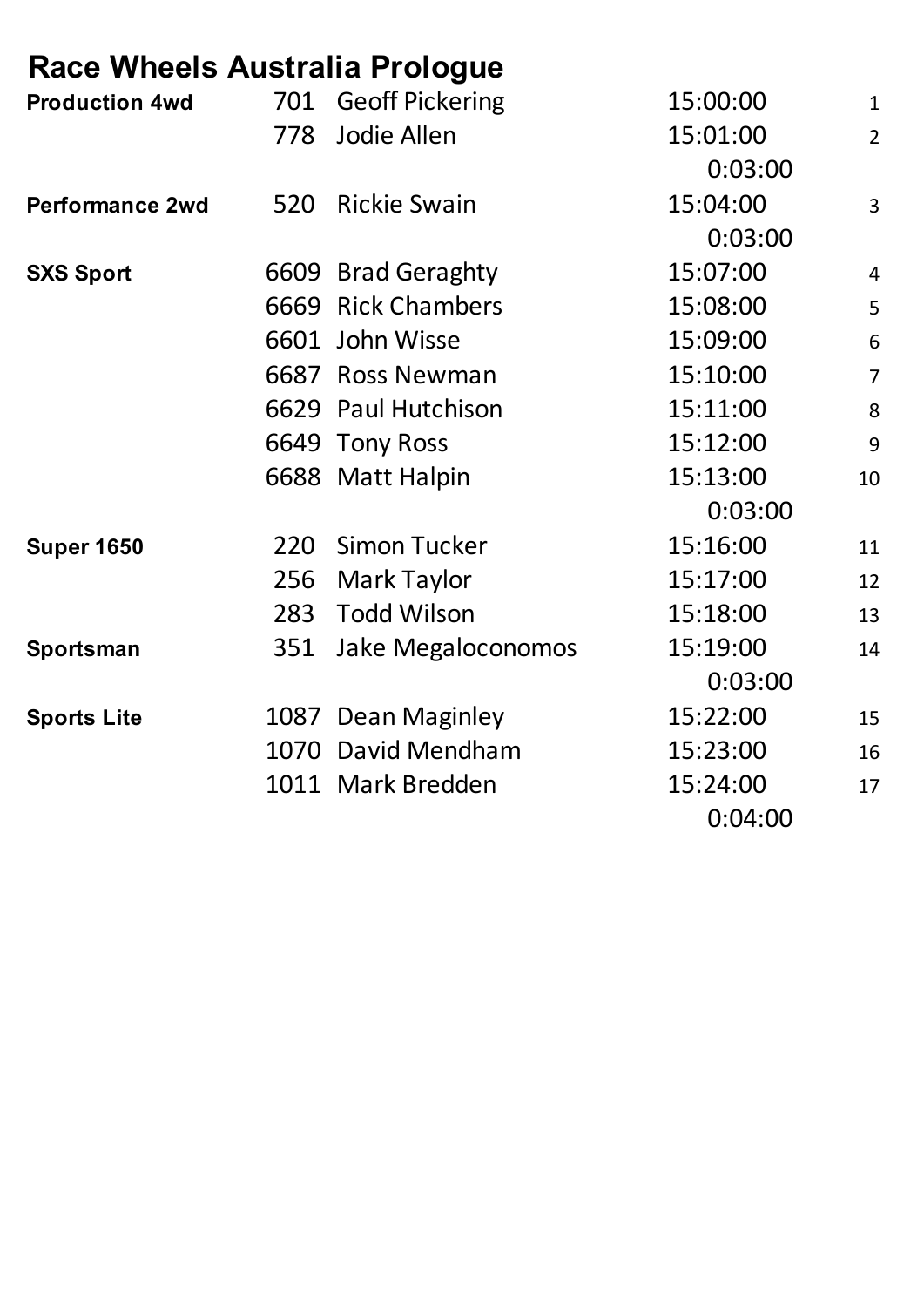### **Race Wheels Australia Prologue**

| <b>Production 4wd</b>  | 701  | <b>Geoff Pickering</b> | 15:00:00 | $\mathbf{1}$    |
|------------------------|------|------------------------|----------|-----------------|
|                        | 778  | Jodie Allen            | 15:01:00 | $\overline{2}$  |
|                        |      |                        | 0:03:00  |                 |
| <b>Performance 2wd</b> | 520  | <b>Rickie Swain</b>    | 15:04:00 | 3               |
|                        |      |                        | 0:03:00  |                 |
| <b>SXS Sport</b>       |      | 6609 Brad Geraghty     | 15:07:00 | $\overline{4}$  |
|                        |      | 6669 Rick Chambers     | 15:08:00 | 5               |
|                        |      | 6601 John Wisse        | 15:09:00 | $6\phantom{1}6$ |
|                        |      | 6687 Ross Newman       | 15:10:00 | $\overline{7}$  |
|                        |      | 6629 Paul Hutchison    | 15:11:00 | 8               |
|                        |      | 6649 Tony Ross         | 15:12:00 | $\overline{9}$  |
|                        |      | 6688 Matt Halpin       | 15:13:00 | 10              |
|                        |      |                        | 0:03:00  |                 |
| <b>Super 1650</b>      | 220  | <b>Simon Tucker</b>    | 15:16:00 | 11              |
|                        | 256  | Mark Taylor            | 15:17:00 | 12              |
|                        | 283  | <b>Todd Wilson</b>     | 15:18:00 | 13              |
| Sportsman              | 351  | Jake Megaloconomos     | 15:19:00 | 14              |
|                        |      |                        | 0:03:00  |                 |
| <b>Sports Lite</b>     |      | 1087 Dean Maginley     | 15:22:00 | 15              |
|                        | 1070 | David Mendham          | 15:23:00 | 16              |
|                        |      | 1011 Mark Bredden      | 15:24:00 | 17              |
|                        |      |                        | 0:04:00  |                 |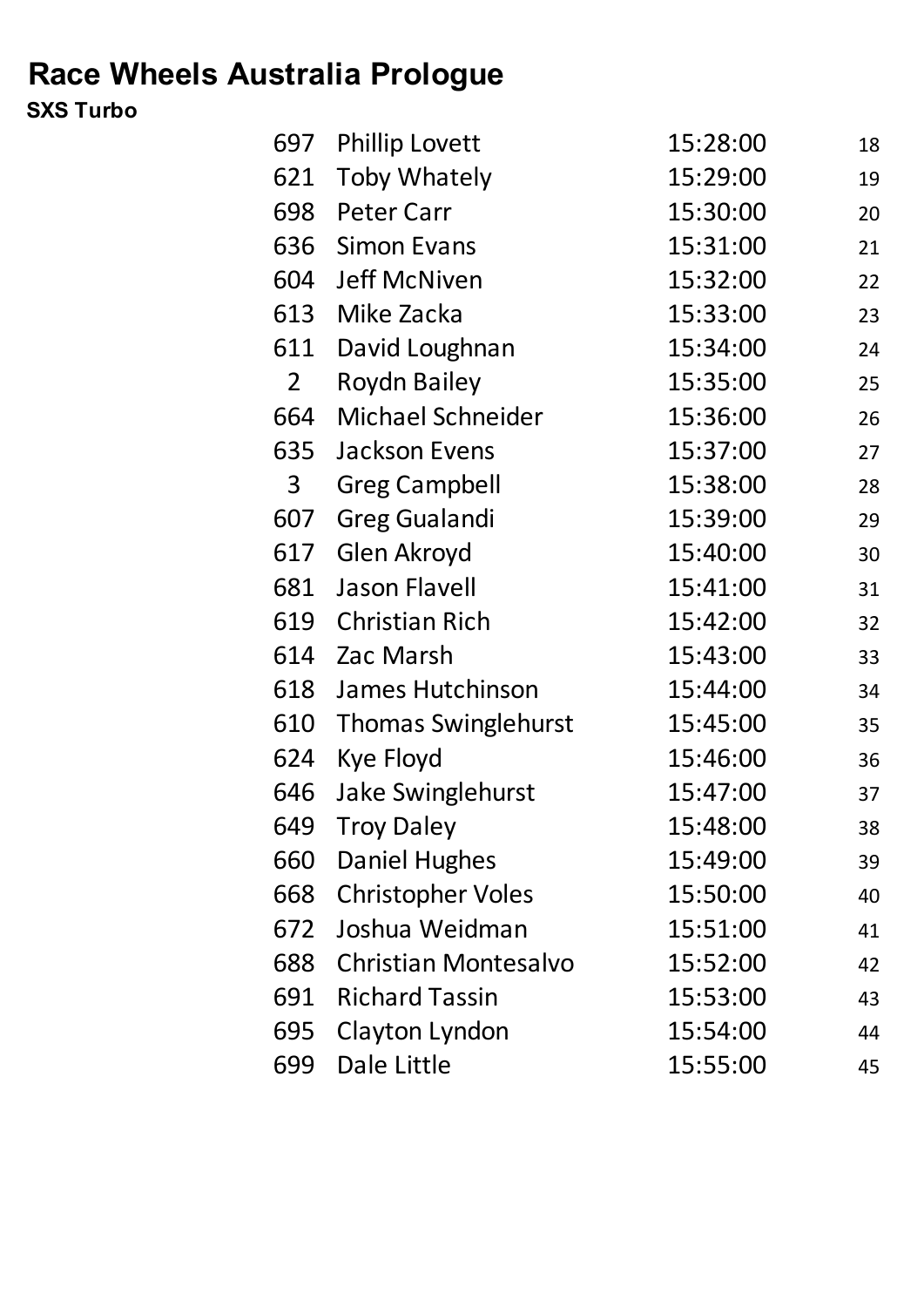# **Race Wheels Australia Prologue**

#### **SXS Turbo**

| 697            | <b>Phillip Lovett</b>       | 15:28:00 | 18 |
|----------------|-----------------------------|----------|----|
| 621            | Toby Whately                | 15:29:00 | 19 |
| 698            | <b>Peter Carr</b>           | 15:30:00 | 20 |
| 636            | <b>Simon Evans</b>          | 15:31:00 | 21 |
| 604            | <b>Jeff McNiven</b>         | 15:32:00 | 22 |
| 613            | Mike Zacka                  | 15:33:00 | 23 |
| 611            | David Loughnan              | 15:34:00 | 24 |
| $\overline{2}$ | <b>Roydn Bailey</b>         | 15:35:00 | 25 |
| 664            | <b>Michael Schneider</b>    | 15:36:00 | 26 |
| 635            | Jackson Evens               | 15:37:00 | 27 |
| 3              | <b>Greg Campbell</b>        | 15:38:00 | 28 |
| 607            | <b>Greg Gualandi</b>        | 15:39:00 | 29 |
| 617            | Glen Akroyd                 | 15:40:00 | 30 |
| 681            | <b>Jason Flavell</b>        | 15:41:00 | 31 |
| 619            | <b>Christian Rich</b>       | 15:42:00 | 32 |
| 614            | Zac Marsh                   | 15:43:00 | 33 |
| 618            | James Hutchinson            | 15:44:00 | 34 |
| 610            | <b>Thomas Swinglehurst</b>  | 15:45:00 | 35 |
| 624            | <b>Kye Floyd</b>            | 15:46:00 | 36 |
| 646            | <b>Jake Swinglehurst</b>    | 15:47:00 | 37 |
| 649            | <b>Troy Daley</b>           | 15:48:00 | 38 |
| 660            | <b>Daniel Hughes</b>        | 15:49:00 | 39 |
| 668            | <b>Christopher Voles</b>    | 15:50:00 | 40 |
| 672            | Joshua Weidman              | 15:51:00 | 41 |
| 688            | <b>Christian Montesalvo</b> | 15:52:00 | 42 |
| 691            | <b>Richard Tassin</b>       | 15:53:00 | 43 |
| 695            | Clayton Lyndon              | 15:54:00 | 44 |
| 699            | Dale Little                 | 15:55:00 | 45 |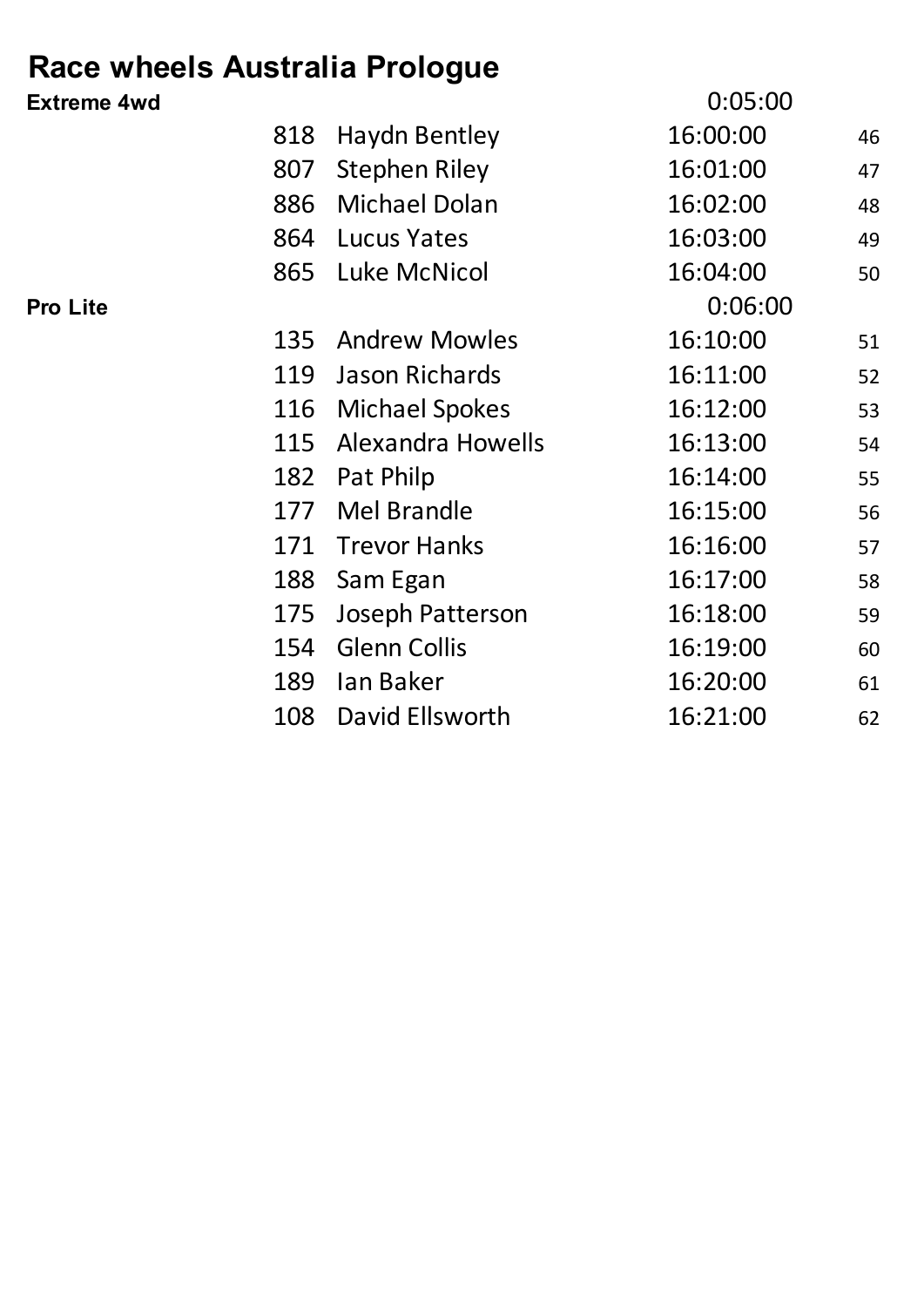## **Race wheels Australia Prologue**

| <b>Extreme 4wd</b> |     |                          | 0:05:00  |    |
|--------------------|-----|--------------------------|----------|----|
|                    | 818 | <b>Haydn Bentley</b>     | 16:00:00 | 46 |
|                    | 807 | <b>Stephen Riley</b>     | 16:01:00 | 47 |
|                    | 886 | <b>Michael Dolan</b>     | 16:02:00 | 48 |
|                    | 864 | <b>Lucus Yates</b>       | 16:03:00 | 49 |
|                    |     | 865 Luke McNicol         | 16:04:00 | 50 |
| <b>Pro Lite</b>    |     |                          | 0:06:00  |    |
|                    | 135 | <b>Andrew Mowles</b>     | 16:10:00 | 51 |
|                    | 119 | Jason Richards           | 16:11:00 | 52 |
|                    | 116 | <b>Michael Spokes</b>    | 16:12:00 | 53 |
|                    | 115 | <b>Alexandra Howells</b> | 16:13:00 | 54 |
|                    | 182 | Pat Philp                | 16:14:00 | 55 |
|                    | 177 | Mel Brandle              | 16:15:00 | 56 |
|                    | 171 | <b>Trevor Hanks</b>      | 16:16:00 | 57 |
|                    | 188 | Sam Egan                 | 16:17:00 | 58 |
|                    | 175 | Joseph Patterson         | 16:18:00 | 59 |
|                    | 154 | <b>Glenn Collis</b>      | 16:19:00 | 60 |
|                    | 189 | lan Baker                | 16:20:00 | 61 |
|                    | 108 | David Ellsworth          | 16:21:00 | 62 |